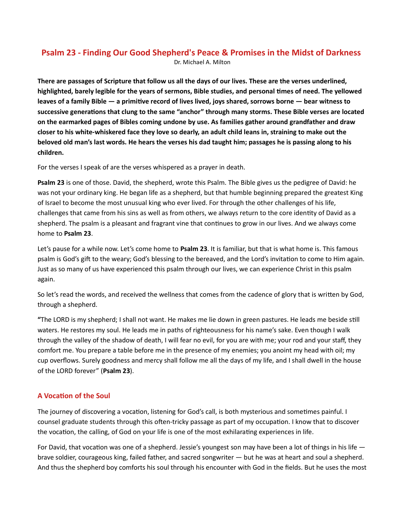# Psalm 23 - Finding Our Good Shepherd's Peace & Promises in the Midst of Darkness Dr. Michael A. Milton

There are passages of Scripture that follow us all the days of our lives. These are the verses underlined, highlighted, barely legible for the years of sermons, Bible studies, and personal times of need. The yellowed leaves of a family Bible — a primitive record of lives lived, joys shared, sorrows borne — bear witness to successive generations that clung to the same "anchor" through many storms. These Bible verses are located on the earmarked pages of Bibles coming undone by use. As families gather around grandfather and draw closer to his white-whiskered face they love so dearly, an adult child leans in, straining to make out the beloved old man's last words. He hears the verses his dad taught him; passages he is passing along to his children.

For the verses I speak of are the verses whispered as a prayer in death.

Psalm 23 is one of those. David, the shepherd, wrote this Psalm. The Bible gives us the pedigree of David: he was not your ordinary king. He began life as a shepherd, but that humble beginning prepared the greatest King of Israel to become the most unusual king who ever lived. For through the other challenges of his life, challenges that came from his sins as well as from others, we always return to the core identity of David as a shepherd. The psalm is a pleasant and fragrant vine that continues to grow in our lives. And we always come home to Psalm 23.

Let's pause for a while now. Let's come home to Psalm 23. It is familiar, but that is what home is. This famous psalm is God's gift to the weary; God's blessing to the bereaved, and the Lord's invitation to come to Him again. Just as so many of us have experienced this psalm through our lives, we can experience Christ in this psalm again.

So let's read the words, and received the wellness that comes from the cadence of glory that is written by God, through a shepherd.

"The LORD is my shepherd; I shall not want. He makes me lie down in green pastures. He leads me beside still waters. He restores my soul. He leads me in paths of righteousness for his name's sake. Even though I walk through the valley of the shadow of death, I will fear no evil, for you are with me; your rod and your staff, they comfort me. You prepare a table before me in the presence of my enemies; you anoint my head with oil; my cup overflows. Surely goodness and mercy shall follow me all the days of my life, and I shall dwell in the house of the LORD forever" (Psalm 23).

# A Vocation of the Soul

The journey of discovering a vocation, listening for God's call, is both mysterious and sometimes painful. I counsel graduate students through this often-tricky passage as part of my occupation. I know that to discover the vocation, the calling, of God on your life is one of the most exhilarating experiences in life.

For David, that vocation was one of a shepherd. Jessie's youngest son may have been a lot of things in his life  $$ brave soldier, courageous king, failed father, and sacred songwriter — but he was at heart and soul a shepherd. And thus the shepherd boy comforts his soul through his encounter with God in the fields. But he uses the most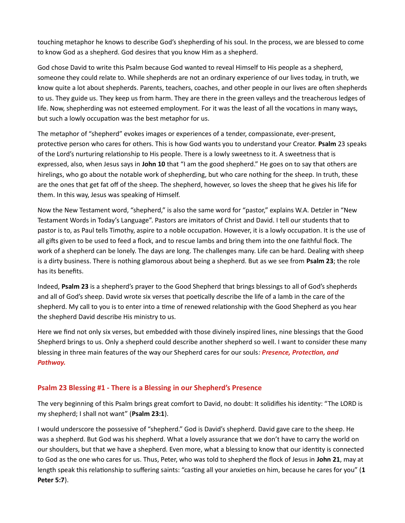touching metaphor he knows to describe God's shepherding of his soul. In the process, we are blessed to come to know God as a shepherd. God desires that you know Him as a shepherd.

God chose David to write this Psalm because God wanted to reveal Himself to His people as a shepherd, someone they could relate to. While shepherds are not an ordinary experience of our lives today, in truth, we know quite a lot about shepherds. Parents, teachers, coaches, and other people in our lives are often shepherds to us. They guide us. They keep us from harm. They are there in the green valleys and the treacherous ledges of life. Now, shepherding was not esteemed employment. For it was the least of all the vocations in many ways, but such a lowly occupation was the best metaphor for us.

The metaphor of "shepherd" evokes images or experiences of a tender, compassionate, ever-present, protective person who cares for others. This is how God wants you to understand your Creator. Psalm 23 speaks of the Lord's nurturing relationship to His people. There is a lowly sweetness to it. A sweetness that is expressed, also, when Jesus says in John 10 that "I am the good shepherd." He goes on to say that others are hirelings, who go about the notable work of shepherding, but who care nothing for the sheep. In truth, these are the ones that get fat off of the sheep. The shepherd, however, so loves the sheep that he gives his life for them. In this way, Jesus was speaking of Himself.

Now the New Testament word, "shepherd," is also the same word for "pastor," explains W.A. Detzler in "New Testament Words in Today's Language". Pastors are imitators of Christ and David. I tell our students that to pastor is to, as Paul tells Timothy, aspire to a noble occupation. However, it is a lowly occupation. It is the use of all gifts given to be used to feed a flock, and to rescue lambs and bring them into the one faithful flock. The work of a shepherd can be lonely. The days are long. The challenges many. Life can be hard. Dealing with sheep is a dirty business. There is nothing glamorous about being a shepherd. But as we see from Psalm 23; the role has its benefits.

Indeed, Psalm 23 is a shepherd's prayer to the Good Shepherd that brings blessings to all of God's shepherds and all of God's sheep. David wrote six verses that poetically describe the life of a lamb in the care of the shepherd. My call to you is to enter into a time of renewed relationship with the Good Shepherd as you hear the shepherd David describe His ministry to us.

Here we find not only six verses, but embedded with those divinely inspired lines, nine blessings that the Good Shepherd brings to us. Only a shepherd could describe another shepherd so well. I want to consider these many blessing in three main features of the way our Shepherd cares for our souls: Presence, Protection, and Pathway.

# Psalm 23 Blessing #1 - There is a Blessing in our Shepherd's Presence

The very beginning of this Psalm brings great comfort to David, no doubt: It solidifies his identity: "The LORD is my shepherd; I shall not want" (Psalm 23:1).

I would underscore the possessive of "shepherd." God is David's shepherd. David gave care to the sheep. He was a shepherd. But God was his shepherd. What a lovely assurance that we don't have to carry the world on our shoulders, but that we have a shepherd. Even more, what a blessing to know that our identity is connected to God as the one who cares for us. Thus, Peter, who was told to shepherd the flock of Jesus in John 21, may at length speak this relationship to suffering saints: "casting all your anxieties on him, because he cares for you" (1 Peter 5:7).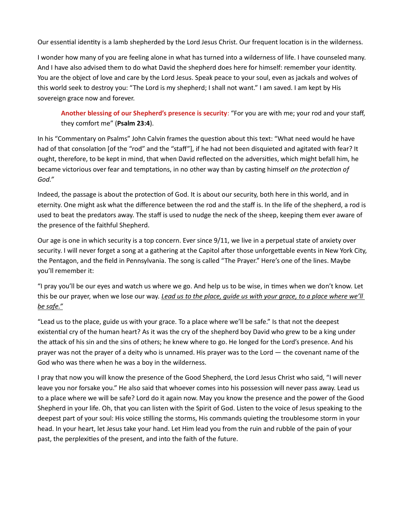Our essential identity is a lamb shepherded by the Lord Jesus Christ. Our frequent location is in the wilderness.

I wonder how many of you are feeling alone in what has turned into a wilderness of life. I have counseled many. And I have also advised them to do what David the shepherd does here for himself: remember your identity. You are the object of love and care by the Lord Jesus. Speak peace to your soul, even as jackals and wolves of this world seek to destroy you: "The Lord is my shepherd; I shall not want." I am saved. I am kept by His sovereign grace now and forever.

Another blessing of our Shepherd's presence is security: "For you are with me; your rod and your staff, they comfort me" (Psalm 23:4).

In his "Commentary on Psalms" John Calvin frames the question about this text: "What need would he have had of that consolation [of the "rod" and the "staff"], if he had not been disquieted and agitated with fear? It ought, therefore, to be kept in mind, that when David reflected on the adversities, which might befall him, he became victorious over fear and temptations, in no other way than by casting himself on the protection of God."

Indeed, the passage is about the protection of God. It is about our security, both here in this world, and in eternity. One might ask what the difference between the rod and the staff is. In the life of the shepherd, a rod is used to beat the predators away. The staff is used to nudge the neck of the sheep, keeping them ever aware of the presence of the faithful Shepherd.

Our age is one in which security is a top concern. Ever since 9/11, we live in a perpetual state of anxiety over security. I will never forget a song at a gathering at the Capitol after those unforgettable events in New York City, the Pentagon, and the field in Pennsylvania. The song is called "The Prayer." Here's one of the lines. Maybe you'll remember it:

"I pray you'll be our eyes and watch us where we go. And help us to be wise, in times when we don't know. Let this be our prayer, when we lose our way. Lead us to the place, guide us with your grace, to a place where we'll be safe."

"Lead us to the place, guide us with your grace. To a place where we'll be safe." Is that not the deepest existential cry of the human heart? As it was the cry of the shepherd boy David who grew to be a king under the attack of his sin and the sins of others; he knew where to go. He longed for the Lord's presence. And his prayer was not the prayer of a deity who is unnamed. His prayer was to the Lord — the covenant name of the God who was there when he was a boy in the wilderness.

I pray that now you will know the presence of the Good Shepherd, the Lord Jesus Christ who said, "I will never leave you nor forsake you." He also said that whoever comes into his possession will never pass away. Lead us to a place where we will be safe? Lord do it again now. May you know the presence and the power of the Good Shepherd in your life. Oh, that you can listen with the Spirit of God. Listen to the voice of Jesus speaking to the deepest part of your soul: His voice stilling the storms, His commands quieting the troublesome storm in your head. In your heart, let Jesus take your hand. Let Him lead you from the ruin and rubble of the pain of your past, the perplexities of the present, and into the faith of the future.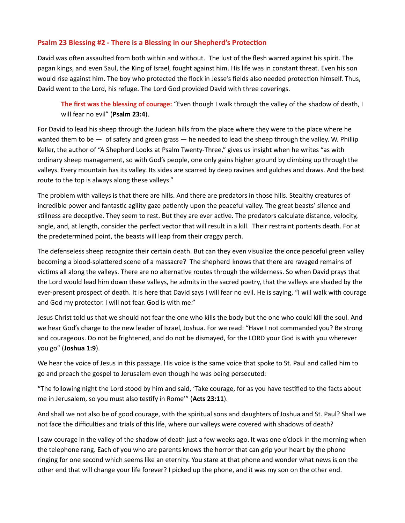## Psalm 23 Blessing #2 - There is a Blessing in our Shepherd's Protection

David was often assaulted from both within and without. The lust of the flesh warred against his spirit. The pagan kings, and even Saul, the King of Israel, fought against him. His life was in constant threat. Even his son would rise against him. The boy who protected the flock in Jesse's fields also needed protection himself. Thus, David went to the Lord, his refuge. The Lord God provided David with three coverings.

The first was the blessing of courage: "Even though I walk through the valley of the shadow of death, I will fear no evil" (Psalm 23:4).

For David to lead his sheep through the Judean hills from the place where they were to the place where he wanted them to be — of safety and green grass — he needed to lead the sheep through the valley. W. Phillip Keller, the author of "A Shepherd Looks at Psalm Twenty-Three," gives us insight when he writes "as with ordinary sheep management, so with God's people, one only gains higher ground by climbing up through the valleys. Every mountain has its valley. Its sides are scarred by deep ravines and gulches and draws. And the best route to the top is always along these valleys."

The problem with valleys is that there are hills. And there are predators in those hills. Stealthy creatures of incredible power and fantastic agility gaze patiently upon the peaceful valley. The great beasts' silence and stillness are deceptive. They seem to rest. But they are ever active. The predators calculate distance, velocity, angle, and, at length, consider the perfect vector that will result in a kill. Their restraint portents death. For at the predetermined point, the beasts will leap from their craggy perch.

The defenseless sheep recognize their certain death. But can they even visualize the once peaceful green valley becoming a blood-splattered scene of a massacre? The shepherd knows that there are ravaged remains of victims all along the valleys. There are no alternative routes through the wilderness. So when David prays that the Lord would lead him down these valleys, he admits in the sacred poetry, that the valleys are shaded by the ever-present prospect of death. It is here that David says I will fear no evil. He is saying, "I will walk with courage and God my protector. I will not fear. God is with me."

Jesus Christ told us that we should not fear the one who kills the body but the one who could kill the soul. And we hear God's charge to the new leader of Israel, Joshua. For we read: "Have I not commanded you? Be strong and courageous. Do not be frightened, and do not be dismayed, for the LORD your God is with you wherever you go" (Joshua 1:9).

We hear the voice of Jesus in this passage. His voice is the same voice that spoke to St. Paul and called him to go and preach the gospel to Jerusalem even though he was being persecuted:

"The following night the Lord stood by him and said, 'Take courage, for as you have testified to the facts about me in Jerusalem, so you must also testify in Rome" (Acts 23:11).

And shall we not also be of good courage, with the spiritual sons and daughters of Joshua and St. Paul? Shall we not face the difficulties and trials of this life, where our valleys were covered with shadows of death?

I saw courage in the valley of the shadow of death just a few weeks ago. It was one o'clock in the morning when the telephone rang. Each of you who are parents knows the horror that can grip your heart by the phone ringing for one second which seems like an eternity. You stare at that phone and wonder what news is on the other end that will change your life forever? I picked up the phone, and it was my son on the other end.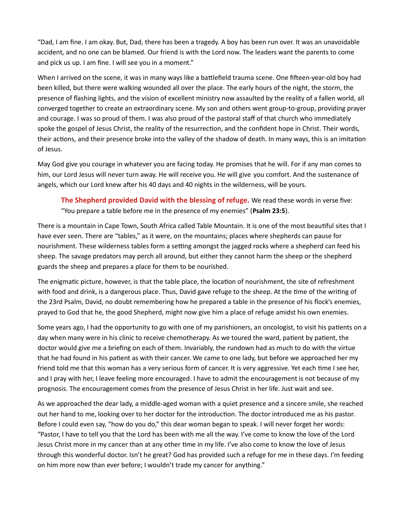"Dad, I am fine. I am okay. But, Dad, there has been a tragedy. A boy has been run over. It was an unavoidable accident, and no one can be blamed. Our friend is with the Lord now. The leaders want the parents to come and pick us up. I am fine. I will see you in a moment."

When I arrived on the scene, it was in many ways like a battlefield trauma scene. One fifteen-year-old boy had been killed, but there were walking wounded all over the place. The early hours of the night, the storm, the presence of flashing lights, and the vision of excellent ministry now assaulted by the reality of a fallen world, all converged together to create an extraordinary scene. My son and others went group-to-group, providing prayer and courage. I was so proud of them. I was also proud of the pastoral staff of that church who immediately spoke the gospel of Jesus Christ, the reality of the resurrection, and the confident hope in Christ. Their words, their actions, and their presence broke into the valley of the shadow of death. In many ways, this is an imitation of Jesus.

May God give you courage in whatever you are facing today. He promises that he will. For if any man comes to him, our Lord Jesus will never turn away. He will receive you. He will give you comfort. And the sustenance of angels, which our Lord knew after his 40 days and 40 nights in the wilderness, will be yours.

The Shepherd provided David with the blessing of refuge. We read these words in verse five: "You prepare a table before me in the presence of my enemies" (Psalm 23:5).

There is a mountain in Cape Town, South Africa called Table Mountain. It is one of the most beautiful sites that I have ever seen. There are "tables," as it were, on the mountains; places where shepherds can pause for nourishment. These wilderness tables form a setting amongst the jagged rocks where a shepherd can feed his sheep. The savage predators may perch all around, but either they cannot harm the sheep or the shepherd guards the sheep and prepares a place for them to be nourished.

The enigmatic picture, however, is that the table place, the location of nourishment, the site of refreshment with food and drink, is a dangerous place. Thus, David gave refuge to the sheep. At the time of the writing of the 23rd Psalm, David, no doubt remembering how he prepared a table in the presence of his flock's enemies, prayed to God that he, the good Shepherd, might now give him a place of refuge amidst his own enemies.

Some years ago, I had the opportunity to go with one of my parishioners, an oncologist, to visit his patients on a day when many were in his clinic to receive chemotherapy. As we toured the ward, patient by patient, the doctor would give me a briefing on each of them. Invariably, the rundown had as much to do with the virtue that he had found in his patient as with their cancer. We came to one lady, but before we approached her my friend told me that this woman has a very serious form of cancer. It is very aggressive. Yet each time I see her, and I pray with her, I leave feeling more encouraged. I have to admit the encouragement is not because of my prognosis. The encouragement comes from the presence of Jesus Christ in her life. Just wait and see.

As we approached the dear lady, a middle-aged woman with a quiet presence and a sincere smile, she reached out her hand to me, looking over to her doctor for the introduction. The doctor introduced me as his pastor. Before I could even say, "how do you do," this dear woman began to speak. I will never forget her words: "Pastor, I have to tell you that the Lord has been with me all the way. I've come to know the love of the Lord Jesus Christ more in my cancer than at any other time in my life. I've also come to know the love of Jesus through this wonderful doctor. Isn't he great? God has provided such a refuge for me in these days. I'm feeding on him more now than ever before; I wouldn't trade my cancer for anything."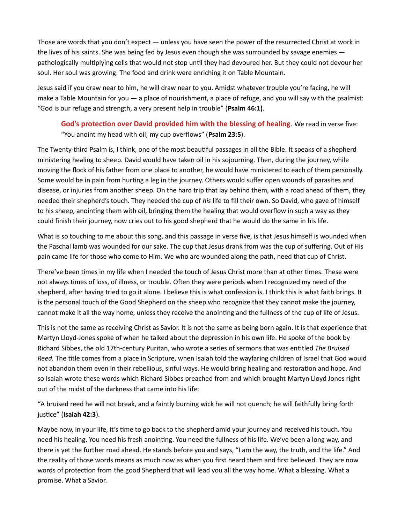Those are words that you don't expect — unless you have seen the power of the resurrected Christ at work in the lives of his saints. She was being fed by Jesus even though she was surrounded by savage enemies  $$ pathologically multiplying cells that would not stop until they had devoured her. But they could not devour her soul. Her soul was growing. The food and drink were enriching it on Table Mountain.

Jesus said if you draw near to him, he will draw near to you. Amidst whatever trouble you're facing, he will make a Table Mountain for you — a place of nourishment, a place of refuge, and you will say with the psalmist: "God is our refuge and strength, a very present help in trouble" (Psalm 46:1).

God's protection over David provided him with the blessing of healing. We read in verse five: "You anoint my head with oil; my cup overflows" (Psalm 23:5).

The Twenty-third Psalm is, I think, one of the most beautiful passages in all the Bible. It speaks of a shepherd ministering healing to sheep. David would have taken oil in his sojourning. Then, during the journey, while moving the flock of his father from one place to another, he would have ministered to each of them personally. Some would be in pain from hurting a leg in the journey. Others would suffer open wounds of parasites and disease, or injuries from another sheep. On the hard trip that lay behind them, with a road ahead of them, they needed their shepherd's touch. They needed the cup of his life to fill their own. So David, who gave of himself to his sheep, anointing them with oil, bringing them the healing that would overflow in such a way as they could finish their journey, now cries out to his good shepherd that he would do the same in his life.

What is so touching to me about this song, and this passage in verse five, is that Jesus himself is wounded when the Paschal lamb was wounded for our sake. The cup that Jesus drank from was the cup of suffering. Out of His pain came life for those who come to Him. We who are wounded along the path, need that cup of Christ.

There've been times in my life when I needed the touch of Jesus Christ more than at other times. These were not always times of loss, of illness, or trouble. Often they were periods when I recognized my need of the shepherd, after having tried to go it alone. I believe this is what confession is. I think this is what faith brings. It is the personal touch of the Good Shepherd on the sheep who recognize that they cannot make the journey, cannot make it all the way home, unless they receive the anointing and the fullness of the cup of life of Jesus.

This is not the same as receiving Christ as Savior. It is not the same as being born again. It is that experience that Martyn Lloyd-Jones spoke of when he talked about the depression in his own life. He spoke of the book by Richard Sibbes, the old 17th-century Puritan, who wrote a series of sermons that was entitled The Bruised Reed. The title comes from a place in Scripture, when Isaiah told the wayfaring children of Israel that God would not abandon them even in their rebellious, sinful ways. He would bring healing and restoration and hope. And so Isaiah wrote these words which Richard Sibbes preached from and which brought Martyn Lloyd Jones right out of the midst of the darkness that came into his life:

"A bruised reed he will not break, and a faintly burning wick he will not quench; he will faithfully bring forth justice" (Isaiah 42:3).

Maybe now, in your life, it's time to go back to the shepherd amid your journey and received his touch. You need his healing. You need his fresh anointing. You need the fullness of his life. We've been a long way, and there is yet the further road ahead. He stands before you and says, "I am the way, the truth, and the life." And the reality of those words means as much now as when you first heard them and first believed. They are now words of protection from the good Shepherd that will lead you all the way home. What a blessing. What a promise. What a Savior.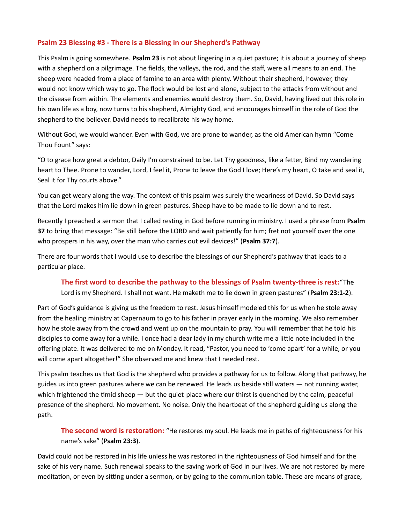## Psalm 23 Blessing #3 - There is a Blessing in our Shepherd's Pathway

This Psalm is going somewhere. Psalm 23 is not about lingering in a quiet pasture; it is about a journey of sheep with a shepherd on a pilgrimage. The fields, the valleys, the rod, and the staff, were all means to an end. The sheep were headed from a place of famine to an area with plenty. Without their shepherd, however, they would not know which way to go. The flock would be lost and alone, subject to the attacks from without and the disease from within. The elements and enemies would destroy them. So, David, having lived out this role in his own life as a boy, now turns to his shepherd, Almighty God, and encourages himself in the role of God the shepherd to the believer. David needs to recalibrate his way home.

Without God, we would wander. Even with God, we are prone to wander, as the old American hymn "Come Thou Fount" says:

"O to grace how great a debtor, Daily I'm constrained to be. Let Thy goodness, like a fetter, Bind my wandering heart to Thee. Prone to wander, Lord, I feel it, Prone to leave the God I love; Here's my heart, O take and seal it, Seal it for Thy courts above."

You can get weary along the way. The context of this psalm was surely the weariness of David. So David says that the Lord makes him lie down in green pastures. Sheep have to be made to lie down and to rest.

Recently I preached a sermon that I called resting in God before running in ministry. I used a phrase from Psalm 37 to bring that message: "Be still before the LORD and wait patiently for him; fret not yourself over the one who prospers in his way, over the man who carries out evil devices!" (Psalm 37:7).

There are four words that I would use to describe the blessings of our Shepherd's pathway that leads to a particular place.

#### The first word to describe the pathway to the blessings of Psalm twenty-three is rest:"The

Lord is my Shepherd. I shall not want. He maketh me to lie down in green pastures" (Psalm 23:1-2).

Part of God's guidance is giving us the freedom to rest. Jesus himself modeled this for us when he stole away from the healing ministry at Capernaum to go to his father in prayer early in the morning. We also remember how he stole away from the crowd and went up on the mountain to pray. You will remember that he told his disciples to come away for a while. I once had a dear lady in my church write me a little note included in the offering plate. It was delivered to me on Monday. It read, "Pastor, you need to 'come apart' for a while, or you will come apart altogether!" She observed me and knew that I needed rest.

This psalm teaches us that God is the shepherd who provides a pathway for us to follow. Along that pathway, he guides us into green pastures where we can be renewed. He leads us beside still waters — not running water, which frightened the timid sheep  $-$  but the quiet place where our thirst is quenched by the calm, peaceful presence of the shepherd. No movement. No noise. Only the heartbeat of the shepherd guiding us along the path.

The second word is restoration: "He restores my soul. He leads me in paths of righteousness for his name's sake" (Psalm 23:3).

David could not be restored in his life unless he was restored in the righteousness of God himself and for the sake of his very name. Such renewal speaks to the saving work of God in our lives. We are not restored by mere meditation, or even by sitting under a sermon, or by going to the communion table. These are means of grace,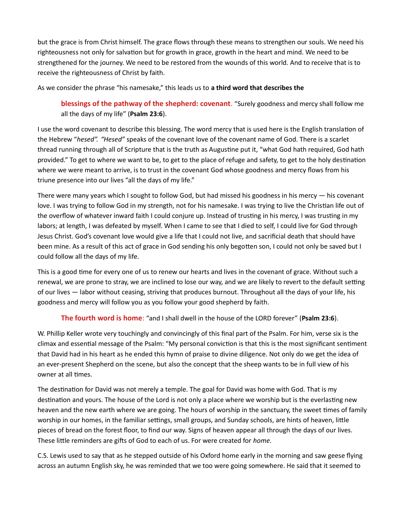but the grace is from Christ himself. The grace flows through these means to strengthen our souls. We need his righteousness not only for salvation but for growth in grace, growth in the heart and mind. We need to be strengthened for the journey. We need to be restored from the wounds of this world. And to receive that is to receive the righteousness of Christ by faith.

As we consider the phrase "his namesake," this leads us to a third word that describes the

blessings of the pathway of the shepherd: covenant. "Surely goodness and mercy shall follow me all the days of my life" (Psalm 23:6).

I use the word covenant to describe this blessing. The word mercy that is used here is the English translation of the Hebrew "hesed". "Hesed" speaks of the covenant love of the covenant name of God. There is a scarlet thread running through all of Scripture that is the truth as Augustine put it, "what God hath required, God hath provided." To get to where we want to be, to get to the place of refuge and safety, to get to the holy destination where we were meant to arrive, is to trust in the covenant God whose goodness and mercy flows from his triune presence into our lives "all the days of my life."

There were many years which I sought to follow God, but had missed his goodness in his mercy — his covenant love. I was trying to follow God in my strength, not for his namesake. I was trying to live the Christian life out of the overflow of whatever inward faith I could conjure up. Instead of trusting in his mercy, I was trusting in my labors; at length, I was defeated by myself. When I came to see that I died to self, I could live for God through Jesus Christ. God's covenant love would give a life that I could not live, and sacrificial death that should have been mine. As a result of this act of grace in God sending his only begotten son, I could not only be saved but I could follow all the days of my life.

This is a good time for every one of us to renew our hearts and lives in the covenant of grace. Without such a renewal, we are prone to stray, we are inclined to lose our way, and we are likely to revert to the default setting of our lives — labor without ceasing, striving that produces burnout. Throughout all the days of your life, his goodness and mercy will follow you as you follow your good shepherd by faith.

# The fourth word is home: "and I shall dwell in the house of the LORD forever" (Psalm 23:6).

W. Phillip Keller wrote very touchingly and convincingly of this final part of the Psalm. For him, verse six is the climax and essential message of the Psalm: "My personal conviction is that this is the most significant sentiment that David had in his heart as he ended this hymn of praise to divine diligence. Not only do we get the idea of an ever-present Shepherd on the scene, but also the concept that the sheep wants to be in full view of his owner at all times.

The destination for David was not merely a temple. The goal for David was home with God. That is my destination and yours. The house of the Lord is not only a place where we worship but is the everlasting new heaven and the new earth where we are going. The hours of worship in the sanctuary, the sweet times of family worship in our homes, in the familiar settings, small groups, and Sunday schools, are hints of heaven, little pieces of bread on the forest floor, to find our way. Signs of heaven appear all through the days of our lives. These little reminders are gifts of God to each of us. For were created for home.

C.S. Lewis used to say that as he stepped outside of his Oxford home early in the morning and saw geese flying across an autumn English sky, he was reminded that we too were going somewhere. He said that it seemed to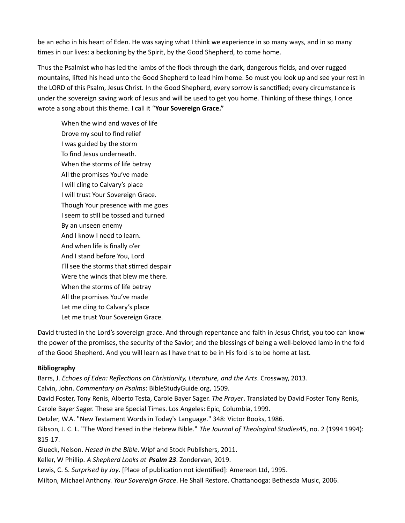be an echo in his heart of Eden. He was saying what I think we experience in so many ways, and in so many times in our lives: a beckoning by the Spirit, by the Good Shepherd, to come home.

Thus the Psalmist who has led the lambs of the flock through the dark, dangerous fields, and over rugged mountains, lifted his head unto the Good Shepherd to lead him home. So must you look up and see your rest in the LORD of this Psalm, Jesus Christ. In the Good Shepherd, every sorrow is sanctified; every circumstance is under the sovereign saving work of Jesus and will be used to get you home. Thinking of these things, I once wrote a song about this theme. I call it "Your Sovereign Grace."

When the wind and waves of life Drove my soul to find relief I was guided by the storm To find Jesus underneath. When the storms of life betray All the promises You've made I will cling to Calvary's place I will trust Your Sovereign Grace. Though Your presence with me goes I seem to still be tossed and turned By an unseen enemy And I know I need to learn. And when life is finally o'er And I stand before You, Lord I'll see the storms that stirred despair Were the winds that blew me there. When the storms of life betray All the promises You've made Let me cling to Calvary's place Let me trust Your Sovereign Grace.

David trusted in the Lord's sovereign grace. And through repentance and faith in Jesus Christ, you too can know the power of the promises, the security of the Savior, and the blessings of being a well-beloved lamb in the fold of the Good Shepherd. And you will learn as I have that to be in His fold is to be home at last.

#### Bibliography

Barrs, J. Echoes of Eden: Reflections on Christianity, Literature, and the Arts. Crossway, 2013.

Calvin, John. Commentary on Psalms: BibleStudyGuide.org, 1509.

David Foster, Tony Renis, Alberto Testa, Carole Bayer Sager. The Prayer. Translated by David Foster Tony Renis, Carole Bayer Sager. These are Special Times. Los Angeles: Epic, Columbia, 1999.

Detzler, W.A. "New Testament Words in Today's Language." 348: Victor Books, 1986.

Gibson, J. C. L. "The Word Hesed in the Hebrew Bible." The Journal of Theological Studies45, no. 2 (1994 1994): 815-17.

Glueck, Nelson. Hesed in the Bible. Wipf and Stock Publishers, 2011.

Keller, W Phillip. A Shepherd Looks at Psalm 23. Zondervan, 2019.

Lewis, C. S. Surprised by Joy. [Place of publication not identified]: Amereon Ltd, 1995.

Milton, Michael Anthony. Your Sovereign Grace. He Shall Restore. Chattanooga: Bethesda Music, 2006.